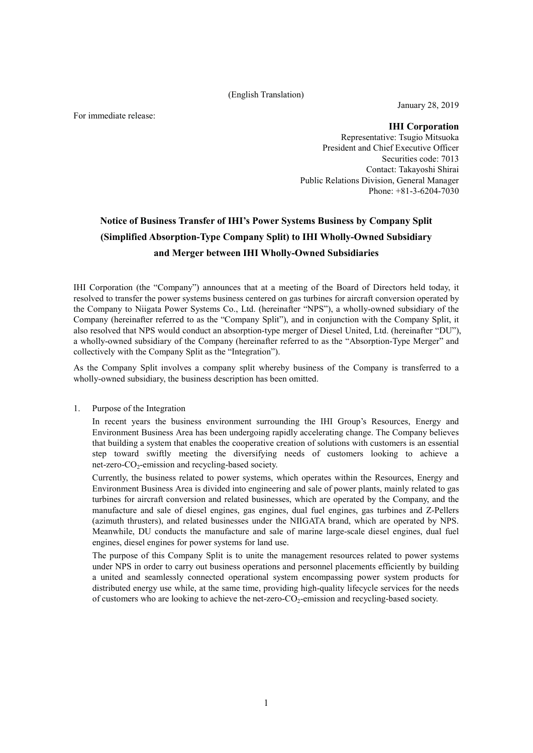#### (English Translation)

For immediate release:

January 28, 2019

**IHI Corporation** Representative: Tsugio Mitsuoka President and Chief Executive Officer Securities code: 7013 Contact: Takayoshi Shirai Public Relations Division, General Manager Phone: +81-3-6204-7030

# **Notice of Business Transfer of IHI's Power Systems Business by Company Split (Simplified Absorption-Type Company Split) to IHI Wholly-Owned Subsidiary and Merger between IHI Wholly-Owned Subsidiaries**

IHI Corporation (the "Company") announces that at a meeting of the Board of Directors held today, it resolved to transfer the power systems business centered on gas turbines for aircraft conversion operated by the Company to Niigata Power Systems Co., Ltd. (hereinafter "NPS"), a wholly-owned subsidiary of the Company (hereinafter referred to as the "Company Split"), and in conjunction with the Company Split, it also resolved that NPS would conduct an absorption-type merger of Diesel United, Ltd. (hereinafter "DU"), a wholly-owned subsidiary of the Company (hereinafter referred to as the "Absorption-Type Merger" and collectively with the Company Split as the "Integration").

As the Company Split involves a company split whereby business of the Company is transferred to a wholly-owned subsidiary, the business description has been omitted.

1. Purpose of the Integration

In recent years the business environment surrounding the IHI Group's Resources, Energy and Environment Business Area has been undergoing rapidly accelerating change. The Company believes that building a system that enables the cooperative creation of solutions with customers is an essential step toward swiftly meeting the diversifying needs of customers looking to achieve a net-zero- $CO_2$ -emission and recycling-based society.

Currently, the business related to power systems, which operates within the Resources, Energy and Environment Business Area is divided into engineering and sale of power plants, mainly related to gas turbines for aircraft conversion and related businesses, which are operated by the Company, and the manufacture and sale of diesel engines, gas engines, dual fuel engines, gas turbines and Z-Pellers (azimuth thrusters), and related businesses under the NIIGATA brand, which are operated by NPS. Meanwhile, DU conducts the manufacture and sale of marine large-scale diesel engines, dual fuel engines, diesel engines for power systems for land use.

The purpose of this Company Split is to unite the management resources related to power systems under NPS in order to carry out business operations and personnel placements efficiently by building a united and seamlessly connected operational system encompassing power system products for distributed energy use while, at the same time, providing high-quality lifecycle services for the needs of customers who are looking to achieve the net-zero- $CO<sub>2</sub>$ -emission and recycling-based society.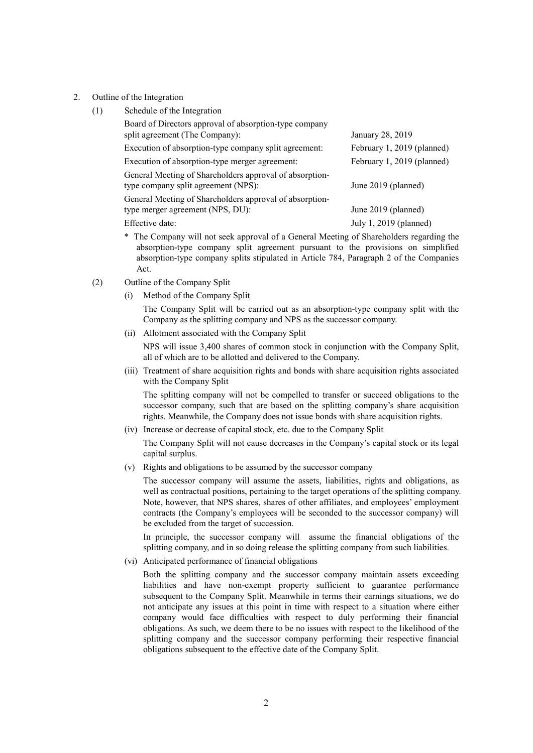- 2. Outline of the Integration
	- (1) Schedule of the Integration

| Board of Directors approval of absorption-type company<br>split agreement (The Company):       | January 28, 2019           |
|------------------------------------------------------------------------------------------------|----------------------------|
| Execution of absorption-type company split agreement:                                          | February 1, 2019 (planned) |
| Execution of absorption-type merger agreement:                                                 | February 1, 2019 (planned) |
| General Meeting of Shareholders approval of absorption-<br>type company split agreement (NPS): | June 2019 (planned)        |
| General Meeting of Shareholders approval of absorption-<br>type merger agreement (NPS, DU):    | June 2019 (planned)        |
| Effective date:                                                                                | July 1, 2019 (planned)     |

- \* The Company will not seek approval of a General Meeting of Shareholders regarding the absorption-type company split agreement pursuant to the provisions on simplified absorption-type company splits stipulated in Article 784, Paragraph 2 of the Companies Act.
- (2) Outline of the Company Split
	- (i) Method of the Company Split

The Company Split will be carried out as an absorption-type company split with the Company as the splitting company and NPS as the successor company.

(ii) Allotment associated with the Company Split

NPS will issue 3,400 shares of common stock in conjunction with the Company Split, all of which are to be allotted and delivered to the Company.

(iii) Treatment of share acquisition rights and bonds with share acquisition rights associated with the Company Split

The splitting company will not be compelled to transfer or succeed obligations to the successor company, such that are based on the splitting company's share acquisition rights. Meanwhile, the Company does not issue bonds with share acquisition rights.

(iv) Increase or decrease of capital stock, etc. due to the Company Split

The Company Split will not cause decreases in the Company's capital stock or its legal capital surplus.

(v) Rights and obligations to be assumed by the successor company

The successor company will assume the assets, liabilities, rights and obligations, as well as contractual positions, pertaining to the target operations of the splitting company. Note, however, that NPS shares, shares of other affiliates, and employees' employment contracts (the Company's employees will be seconded to the successor company) will be excluded from the target of succession.

In principle, the successor company will assume the financial obligations of the splitting company, and in so doing release the splitting company from such liabilities.

(vi) Anticipated performance of financial obligations

Both the splitting company and the successor company maintain assets exceeding liabilities and have non-exempt property sufficient to guarantee performance subsequent to the Company Split. Meanwhile in terms their earnings situations, we do not anticipate any issues at this point in time with respect to a situation where either company would face difficulties with respect to duly performing their financial obligations. As such, we deem there to be no issues with respect to the likelihood of the splitting company and the successor company performing their respective financial obligations subsequent to the effective date of the Company Split.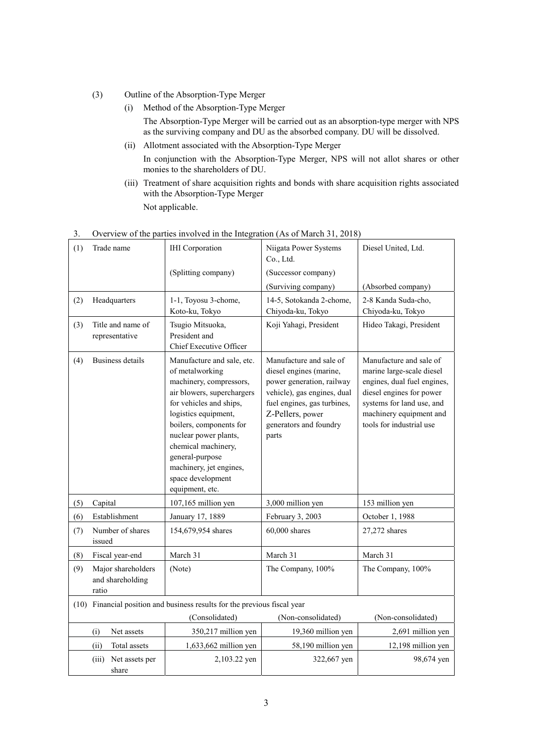- (3) Outline of the Absorption-Type Merger
	- (i) Method of the Absorption-Type Merger The Absorption-Type Merger will be carried out as an absorption-type merger with NPS as the surviving company and DU as the absorbed company. DU will be dissolved.
	- (ii) Allotment associated with the Absorption-Type Merger In conjunction with the Absorption-Type Merger, NPS will not allot shares or other monies to the shareholders of DU.
	- (iii) Treatment of share acquisition rights and bonds with share acquisition rights associated with the Absorption-Type Merger Not applicable.

| (1) | Trade name                                                                   | <b>IHI</b> Corporation                                                                                                                                                                                                                                                                                                     | Niigata Power Systems<br>Co., Ltd.                                                                                                                                                                   | Diesel United, Ltd.                                                                                                                                                                                 |
|-----|------------------------------------------------------------------------------|----------------------------------------------------------------------------------------------------------------------------------------------------------------------------------------------------------------------------------------------------------------------------------------------------------------------------|------------------------------------------------------------------------------------------------------------------------------------------------------------------------------------------------------|-----------------------------------------------------------------------------------------------------------------------------------------------------------------------------------------------------|
|     |                                                                              | (Splitting company)                                                                                                                                                                                                                                                                                                        | (Successor company)                                                                                                                                                                                  |                                                                                                                                                                                                     |
|     |                                                                              |                                                                                                                                                                                                                                                                                                                            | (Surviving company)                                                                                                                                                                                  | (Absorbed company)                                                                                                                                                                                  |
| (2) | Headquarters                                                                 | 1-1, Toyosu 3-chome,<br>Koto-ku, Tokyo                                                                                                                                                                                                                                                                                     | 14-5, Sotokanda 2-chome,<br>Chiyoda-ku, Tokyo                                                                                                                                                        | 2-8 Kanda Suda-cho.<br>Chiyoda-ku, Tokyo                                                                                                                                                            |
| (3) | Title and name of<br>representative                                          | Tsugio Mitsuoka,<br>President and<br>Chief Executive Officer                                                                                                                                                                                                                                                               | Koji Yahagi, President                                                                                                                                                                               | Hideo Takagi, President                                                                                                                                                                             |
| (4) | Business details                                                             | Manufacture and sale, etc.<br>of metalworking<br>machinery, compressors,<br>air blowers, superchargers<br>for vehicles and ships,<br>logistics equipment,<br>boilers, components for<br>nuclear power plants,<br>chemical machinery,<br>general-purpose<br>machinery, jet engines,<br>space development<br>equipment, etc. | Manufacture and sale of<br>diesel engines (marine,<br>power generation, railway<br>vehicle), gas engines, dual<br>fuel engines, gas turbines,<br>Z-Pellers, power<br>generators and foundry<br>parts | Manufacture and sale of<br>marine large-scale diesel<br>engines, dual fuel engines,<br>diesel engines for power<br>systems for land use, and<br>machinery equipment and<br>tools for industrial use |
| (5) | Capital                                                                      | 107,165 million yen                                                                                                                                                                                                                                                                                                        | 3,000 million yen                                                                                                                                                                                    | 153 million yen                                                                                                                                                                                     |
| (6) | Establishment                                                                | January 17, 1889                                                                                                                                                                                                                                                                                                           | February 3, 2003                                                                                                                                                                                     | October 1, 1988                                                                                                                                                                                     |
| (7) | Number of shares<br>issued                                                   | 154,679,954 shares                                                                                                                                                                                                                                                                                                         | $60,000$ shares                                                                                                                                                                                      | 27,272 shares                                                                                                                                                                                       |
| (8) | Fiscal year-end                                                              | March 31                                                                                                                                                                                                                                                                                                                   | March 31                                                                                                                                                                                             | March 31                                                                                                                                                                                            |
| (9) | Major shareholders<br>and shareholding<br>ratio                              | (Note)                                                                                                                                                                                                                                                                                                                     | The Company, 100%                                                                                                                                                                                    | The Company, 100%                                                                                                                                                                                   |
|     | Financial position and business results for the previous fiscal year<br>(10) |                                                                                                                                                                                                                                                                                                                            |                                                                                                                                                                                                      |                                                                                                                                                                                                     |
|     |                                                                              | (Consolidated)                                                                                                                                                                                                                                                                                                             | (Non-consolidated)                                                                                                                                                                                   | (Non-consolidated)                                                                                                                                                                                  |
|     | (i)<br>Net assets                                                            | 350,217 million yen                                                                                                                                                                                                                                                                                                        | 19,360 million yen                                                                                                                                                                                   | 2,691 million yen                                                                                                                                                                                   |
|     | (ii)<br>Total assets                                                         | 1,633,662 million yen                                                                                                                                                                                                                                                                                                      | 58,190 million yen                                                                                                                                                                                   | 12,198 million yen                                                                                                                                                                                  |
|     | Net assets per<br>(iii)<br>share                                             | 2,103.22 yen                                                                                                                                                                                                                                                                                                               | 322,667 yen                                                                                                                                                                                          | 98,674 yen                                                                                                                                                                                          |

## 3. Overview of the parties involved in the Integration (As of March 31, 2018)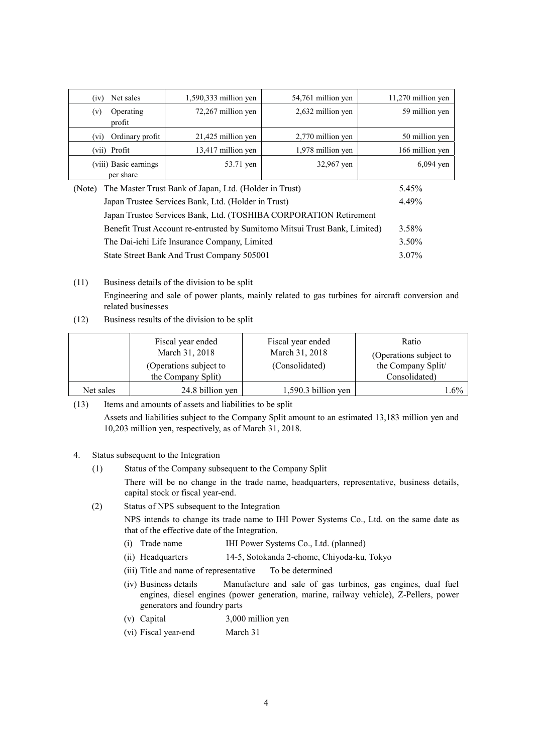| Net sales<br>(1V)                                                | $1,590,333$ million yen | 54,761 million yen | $11,270$ million yen |
|------------------------------------------------------------------|-------------------------|--------------------|----------------------|
| Operating<br>(v)<br>profit                                       | 72,267 million yen      | 2,632 million yen  | 59 million yen       |
| Ordinary profit<br>(v <sub>1</sub> )                             | 21,425 million yen      | 2,770 million yen  | 50 million yen       |
| (vii) Profit                                                     | 13,417 million yen      | 1,978 million yen  | 166 million yen      |
| (viii) Basic earnings<br>per share                               | 53.71 yen               | 32,967 yen         | $6,094$ yen          |
| The Master Trust Bank of Japan, Ltd. (Holder in Trust)<br>(Note) |                         |                    | 5.45%                |

| $(1)$ and $(1)$ and $(1)$ and $(1)$ and $(1)$ and $(1)$ and $(1)$ and $(1)$ and $(1)$ and $(1)$ and $(1)$ | .7.7.77  |
|-----------------------------------------------------------------------------------------------------------|----------|
| Japan Trustee Services Bank, Ltd. (Holder in Trust)                                                       | 4 4 9%   |
| Japan Trustee Services Bank, Ltd. (TOSHIBA CORPORATION Retirement                                         |          |
| Benefit Trust Account re-entrusted by Sumitomo Mitsui Trust Bank, Limited)                                | 3.58%    |
| The Dai-ichi Life Insurance Company, Limited                                                              | $3.50\%$ |
| State Street Bank And Trust Company 505001                                                                | $3.07\%$ |

## (11) Business details of the division to be split Engineering and sale of power plants, mainly related to gas turbines for aircraft conversion and related businesses

(12) Business results of the division to be split

|           | Fiscal year ended      | Fiscal year ended     | Ratio                  |
|-----------|------------------------|-----------------------|------------------------|
|           | March 31, 2018         | March 31, 2018        | (Operations subject to |
|           | (Operations subject to | (Consolidated)        | the Company Split/     |
|           | the Company Split)     |                       | Consolidated)          |
| Net sales | 24.8 billion yen       | $1,590.3$ billion yen | $.6\%$                 |

(13) Items and amounts of assets and liabilities to be split

Assets and liabilities subject to the Company Split amount to an estimated 13,183 million yen and 10,203 million yen, respectively, as of March 31, 2018.

#### 4. Status subsequent to the Integration

(1) Status of the Company subsequent to the Company Split

There will be no change in the trade name, headquarters, representative, business details, capital stock or fiscal year-end.

(2) Status of NPS subsequent to the Integration

NPS intends to change its trade name to IHI Power Systems Co., Ltd. on the same date as that of the effective date of the Integration.

- (i) Trade name IHI Power Systems Co., Ltd. (planned)
- (ii) Headquarters 14-5, Sotokanda 2-chome, Chiyoda-ku, Tokyo
- (iii) Title and name of representative To be determined
- (iv) Business details Manufacture and sale of gas turbines, gas engines, dual fuel engines, diesel engines (power generation, marine, railway vehicle), Z-Pellers, power generators and foundry parts
- (v) Capital 3,000 million yen
- (vi) Fiscal year-end March 31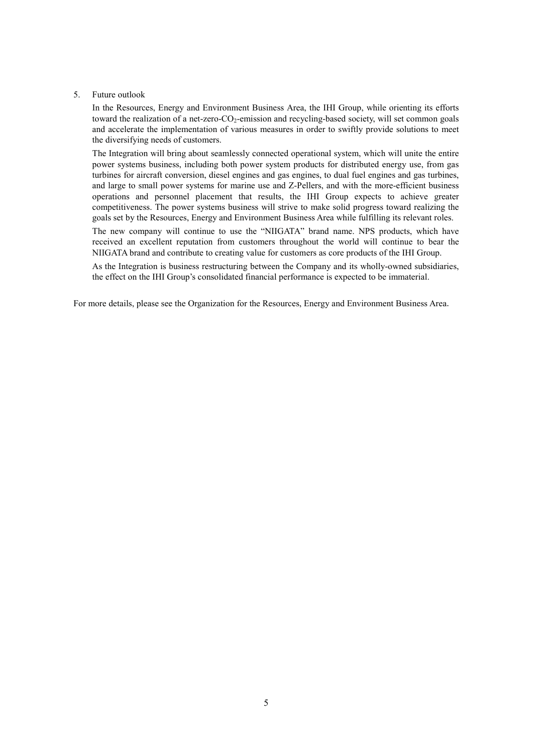#### 5. Future outlook

In the Resources, Energy and Environment Business Area, the IHI Group, while orienting its efforts toward the realization of a net-zero-CO<sub>2</sub>-emission and recycling-based society, will set common goals and accelerate the implementation of various measures in order to swiftly provide solutions to meet the diversifying needs of customers.

The Integration will bring about seamlessly connected operational system, which will unite the entire power systems business, including both power system products for distributed energy use, from gas turbines for aircraft conversion, diesel engines and gas engines, to dual fuel engines and gas turbines, and large to small power systems for marine use and Z-Pellers, and with the more-efficient business operations and personnel placement that results, the IHI Group expects to achieve greater competitiveness. The power systems business will strive to make solid progress toward realizing the goals set by the Resources, Energy and Environment Business Area while fulfilling its relevant roles.

The new company will continue to use the "NIIGATA" brand name. NPS products, which have received an excellent reputation from customers throughout the world will continue to bear the NIIGATA brand and contribute to creating value for customers as core products of the IHI Group.

As the Integration is business restructuring between the Company and its wholly-owned subsidiaries, the effect on the IHI Group's consolidated financial performance is expected to be immaterial.

For more details, please see the Organization for the Resources, Energy and Environment Business Area